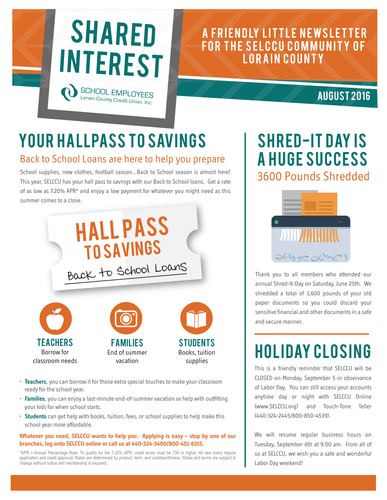

## A FRIENDLY LITTLE NEWSLETTER FOR THE SELCCU COMMUNITY OF LORAIN COUNTY

### AUGUST 2016

# YOUR HALLPASS TO SAVINGS

#### Back to School Loans are here to help you prepare

School supplies, new clothes, football season…Back to School season is almost here! This year, SELCCU has your hall pass to savings with our Back to School loans. Get a rate of as low as 7.20% APR\* and enjoy a low payment for whatever you might need as this summer comes to a close.



- **Teachers**, you can borrow it for those extra special touches to make your classroom ready for the school year.
- **Families**, you can enjoy a last-minute end-of-summer vacation or help with outfitting your kids for when school starts.
- **Students** can get help with books, tuition, fees, or school supplies to help make this school year more affordable.

#### **Whatever you need, SELCCU wants to help you. Applying is easy – stop by one of our branches, log onto SELCCU online or call us at 440-324-3400/800-451-6315.**

\*APR = Annual Percentage Rate. To qualify for the 7.20% APR, credit score must be 730 or higher. All new loans require application and credit approval. Rates are determined by product, term, and creditworthiness. Rates and terms are subject to change without notice and membership is required.

## SHRED-IT DAY IS A HUGE SUCCESS 3600 Pounds Shredded



Thank you to all members who attended our annual Shred-It-Day on Saturday, June 25th. We shredded a total of 3,600 pounds of your old paper documents so you could discard your sensitive financial and other documents in a safe and secure manner.

# **HOLIDAY CLOSING**

This is a friendly reminder that SELCCU will be CLOSED on Monday, September 5 in observance of Labor Day. You can still access your accounts anytime day or night with SELCCU Online (www.SELCCU.org) and Touch-Tone Teller (440-324-2445/800-850-4539).

We will resume regular business hours on Tuesday, September 6th at 9:00 am. From all of us at SELCCU, we wish you a safe and wonderful Labor Day weekend!